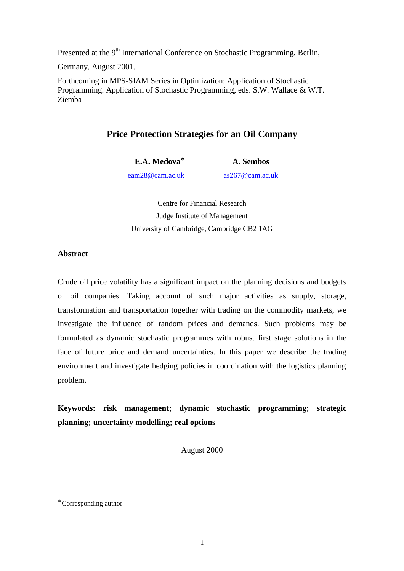Presented at the 9<sup>th</sup> International Conference on Stochastic Programming, Berlin,

Germany, August 2001.

Forthcoming in MPS-SIAM Series in Optimization: Application of Stochastic Programming. Application of Stochastic Programming, eds. S.W. Wallace & W.T. Ziemba

# **Price Protection Strategies for an Oil Company**

**E.A. Medova**<sup>∗</sup> **A. Sembos**

eam28@cam.ac.uk as267@cam.ac.uk

Centre for Financial Research Judge Institute of Management University of Cambridge, Cambridge CB2 1AG

# **Abstract**

Crude oil price volatility has a significant impact on the planning decisions and budgets of oil companies. Taking account of such major activities as supply, storage, transformation and transportation together with trading on the commodity markets, we investigate the influence of random prices and demands. Such problems may be formulated as dynamic stochastic programmes with robust first stage solutions in the face of future price and demand uncertainties. In this paper we describe the trading environment and investigate hedging policies in coordination with the logistics planning problem.

**Keywords: risk management; dynamic stochastic programming; strategic planning; uncertainty modelling; real options**

August 2000

l

<sup>∗</sup> Corresponding author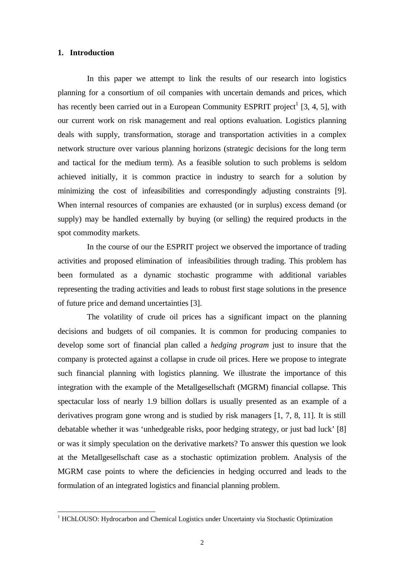### **1. Introduction**

In this paper we attempt to link the results of our research into logistics planning for a consortium of oil companies with uncertain demands and prices, which has recently been carried out in a European Community ESPRIT project<sup>1</sup> [3, 4, 5], with our current work on risk management and real options evaluation. Logistics planning deals with supply, transformation, storage and transportation activities in a complex network structure over various planning horizons (strategic decisions for the long term and tactical for the medium term). As a feasible solution to such problems is seldom achieved initially, it is common practice in industry to search for a solution by minimizing the cost of infeasibilities and correspondingly adjusting constraints [9]. When internal resources of companies are exhausted (or in surplus) excess demand (or supply) may be handled externally by buying (or selling) the required products in the spot commodity markets.

In the course of our the ESPRIT project we observed the importance of trading activities and proposed elimination of infeasibilities through trading. This problem has been formulated as a dynamic stochastic programme with additional variables representing the trading activities and leads to robust first stage solutions in the presence of future price and demand uncertainties [3].

The volatility of crude oil prices has a significant impact on the planning decisions and budgets of oil companies. It is common for producing companies to develop some sort of financial plan called a *hedging program* just to insure that the company is protected against a collapse in crude oil prices. Here we propose to integrate such financial planning with logistics planning. We illustrate the importance of this integration with the example of the Metallgesellschaft (MGRM) financial collapse. This spectacular loss of nearly 1.9 billion dollars is usually presented as an example of a derivatives program gone wrong and is studied by risk managers [1, 7, 8, 11]. It is still debatable whether it was 'unhedgeable risks, poor hedging strategy, or just bad luck' [8] or was it simply speculation on the derivative markets? To answer this question we look at the Metallgesellschaft case as a stochastic optimization problem. Analysis of the MGRM case points to where the deficiencies in hedging occurred and leads to the formulation of an integrated logistics and financial planning problem.

 1 HChLOUSO: Hydrocarbon and Chemical Logistics under Uncertainty via Stochastic Optimization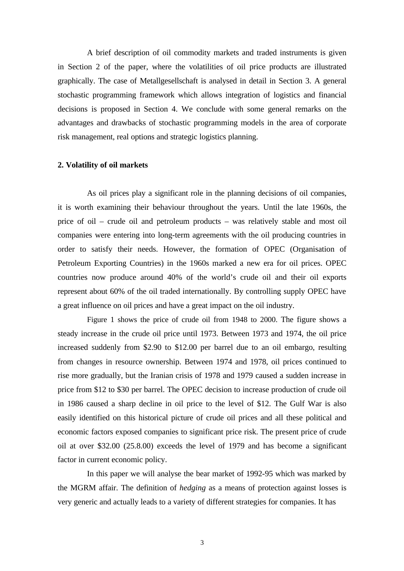A brief description of oil commodity markets and traded instruments is given in Section 2 of the paper, where the volatilities of oil price products are illustrated graphically. The case of Metallgesellschaft is analysed in detail in Section 3. A general stochastic programming framework which allows integration of logistics and financial decisions is proposed in Section 4. We conclude with some general remarks on the advantages and drawbacks of stochastic programming models in the area of corporate risk management, real options and strategic logistics planning.

### **2. Volatility of oil markets**

As oil prices play a significant role in the planning decisions of oil companies, it is worth examining their behaviour throughout the years. Until the late 1960s, the price of oil – crude oil and petroleum products – was relatively stable and most oil companies were entering into long-term agreements with the oil producing countries in order to satisfy their needs. However, the formation of OPEC (Organisation of Petroleum Exporting Countries) in the 1960s marked a new era for oil prices. OPEC countries now produce around 40% of the world's crude oil and their oil exports represent about 60% of the oil traded internationally. By controlling supply OPEC have a great influence on oil prices and have a great impact on the oil industry.

Figure 1 shows the price of crude oil from 1948 to 2000. The figure shows a steady increase in the crude oil price until 1973. Between 1973 and 1974, the oil price increased suddenly from \$2.90 to \$12.00 per barrel due to an oil embargo, resulting from changes in resource ownership. Between 1974 and 1978, oil prices continued to rise more gradually, but the Iranian crisis of 1978 and 1979 caused a sudden increase in price from \$12 to \$30 per barrel. The OPEC decision to increase production of crude oil in 1986 caused a sharp decline in oil price to the level of \$12. The Gulf War is also easily identified on this historical picture of crude oil prices and all these political and economic factors exposed companies to significant price risk. The present price of crude oil at over \$32.00 (25.8.00) exceeds the level of 1979 and has become a significant factor in current economic policy.

In this paper we will analyse the bear market of 1992-95 which was marked by the MGRM affair. The definition of *hedging* as a means of protection against losses is very generic and actually leads to a variety of different strategies for companies. It has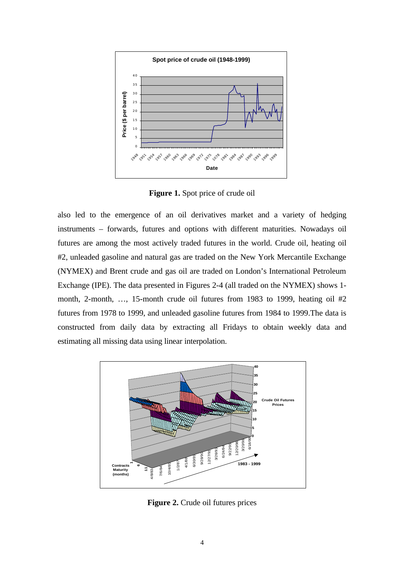

**Figure 1.** Spot price of crude oil

also led to the emergence of an oil derivatives market and a variety of hedging instruments – forwards, futures and options with different maturities. Nowadays oil futures are among the most actively traded futures in the world. Crude oil, heating oil #2, unleaded gasoline and natural gas are traded on the New York Mercantile Exchange (NYMEX) and Brent crude and gas oil are traded on London's International Petroleum Exchange (IPE). The data presented in Figures 2-4 (all traded on the NYMEX) shows 1 month, 2-month, …, 15-month crude oil futures from 1983 to 1999, heating oil #2 futures from 1978 to 1999, and unleaded gasoline futures from 1984 to 1999.The data is constructed from daily data by extracting all Fridays to obtain weekly data and estimating all missing data using linear interpolation.

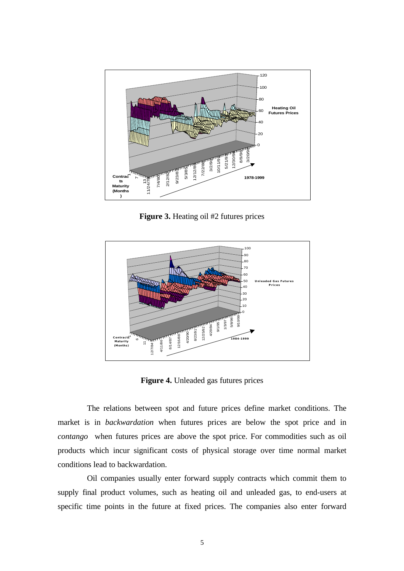

**Figure 3.** Heating oil #2 futures prices



**Figure 4.** Unleaded gas futures prices

The relations between spot and future prices define market conditions. The market is in *backwardation* when futures prices are below the spot price and in *contango* when futures prices are above the spot price. For commodities such as oil products which incur significant costs of physical storage over time normal market conditions lead to backwardation.

Oil companies usually enter forward supply contracts which commit them to supply final product volumes, such as heating oil and unleaded gas, to end-users at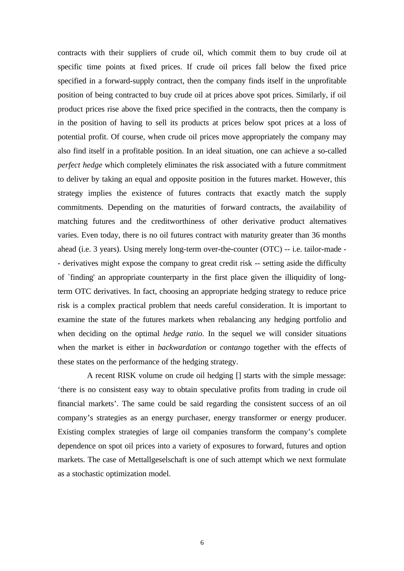contracts with their suppliers of crude oil, which commit them to buy crude oil at specific time points at fixed prices. If crude oil prices fall below the fixed price specified in a forward-supply contract, then the company finds itself in the unprofitable position of being contracted to buy crude oil at prices above spot prices. Similarly, if oil product prices rise above the fixed price specified in the contracts, then the company is in the position of having to sell its products at prices below spot prices at a loss of potential profit. Of course, when crude oil prices move appropriately the company may also find itself in a profitable position. In an ideal situation, one can achieve a so-called *perfect hedge* which completely eliminates the risk associated with a future commitment to deliver by taking an equal and opposite position in the futures market. However, this strategy implies the existence of futures contracts that exactly match the supply commitments. Depending on the maturities of forward contracts, the availability of matching futures and the creditworthiness of other derivative product alternatives varies. Even today, there is no oil futures contract with maturity greater than 36 months ahead (i.e. 3 years). Using merely long-term over-the-counter (OTC) -- i.e. tailor-made - - derivatives might expose the company to great credit risk -- setting aside the difficulty of `finding' an appropriate counterparty in the first place given the illiquidity of longterm OTC derivatives. In fact, choosing an appropriate hedging strategy to reduce price risk is a complex practical problem that needs careful consideration. It is important to examine the state of the futures markets when rebalancing any hedging portfolio and when deciding on the optimal *hedge ratio.* In the sequel we will consider situations when the market is either in *backwardation* or *contango* together with the effects of these states on the performance of the hedging strategy.

A recent RISK volume on crude oil hedging [] starts with the simple message: 'there is no consistent easy way to obtain speculative profits from trading in crude oil financial markets'. The same could be said regarding the consistent success of an oil company's strategies as an energy purchaser, energy transformer or energy producer. Existing complex strategies of large oil companies transform the company's complete dependence on spot oil prices into a variety of exposures to forward, futures and option markets. The case of Mettallgeselschaft is one of such attempt which we next formulate as a stochastic optimization model.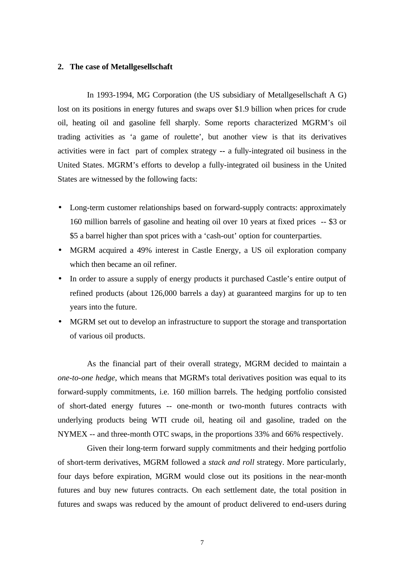#### **2. The case of Metallgesellschaft**

In 1993-1994, MG Corporation (the US subsidiary of Metallgesellschaft A G) lost on its positions in energy futures and swaps over \$1.9 billion when prices for crude oil, heating oil and gasoline fell sharply. Some reports characterized MGRM's oil trading activities as 'a game of roulette', but another view is that its derivatives activities were in fact part of complex strategy **--** a fully-integrated oil business in the United States. MGRM's efforts to develop a fully-integrated oil business in the United States are witnessed by the following facts:

- Long-term customer relationships based on forward-supply contracts: approximately 160 million barrels of gasoline and heating oil over 10 years at fixed prices -- \$3 or \$5 a barrel higher than spot prices with a 'cash-out' option for counterparties.
- MGRM acquired a 49% interest in Castle Energy, a US oil exploration company which then became an oil refiner.
- In order to assure a supply of energy products it purchased Castle's entire output of refined products (about 126,000 barrels a day) at guaranteed margins for up to ten years into the future.
- MGRM set out to develop an infrastructure to support the storage and transportation of various oil products.

As the financial part of their overall strategy, MGRM decided to maintain a *one-to-one hedge*, which means that MGRM's total derivatives position was equal to its forward-supply commitments, i.e. 160 million barrels. The hedging portfolio consisted of short-dated energy futures -- one-month or two-month futures contracts with underlying products being WTI crude oil, heating oil and gasoline, traded on the NYMEX -- and three-month OTC swaps, in the proportions 33% and 66% respectively.

Given their long-term forward supply commitments and their hedging portfolio of short-term derivatives, MGRM followed a *stack and roll* strategy. More particularly, four days before expiration, MGRM would close out its positions in the near-month futures and buy new futures contracts. On each settlement date, the total position in futures and swaps was reduced by the amount of product delivered to end-users during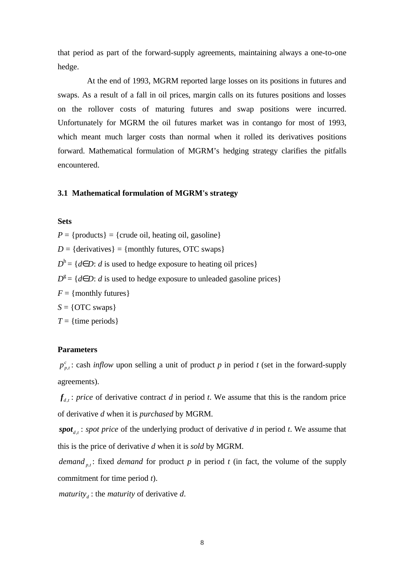that period as part of the forward-supply agreements, maintaining always a one-to-one hedge.

At the end of 1993, MGRM reported large losses on its positions in futures and swaps. As a result of a fall in oil prices, margin calls on its futures positions and losses on the rollover costs of maturing futures and swap positions were incurred. Unfortunately for MGRM the oil futures market was in contango for most of 1993, which meant much larger costs than normal when it rolled its derivatives positions forward. Mathematical formulation of MGRM's hedging strategy clarifies the pitfalls encountered.

### **3.1 Mathematical formulation of MGRM's strategy**

# **Sets**

 $P = \{$  products $\} = \{$  crude oil, heating oil, gasoline $\}$  $D = \{$ derivatives $\}$  = {monthly futures, OTC swaps}  $D^h$  = {*d*∈*D*: *d* is used to hedge exposure to heating oil prices}  $D^g = \{d \in D: d \text{ is used to hedge exposure to unleaded gasoline prices}\}$  $F = \{$  monthly futures  $\}$  $S = \{$  OTC swaps $\}$ 

# $T = \{time \, periods\}$

# **Parameters**

,  $p_{p,t}^c$ : cash *inflow* upon selling a unit of product *p* in period *t* (set in the forward-supply agreements).

 $f_{d,t}$ : *price* of derivative contract *d* in period *t*. We assume that this is the random price of derivative *d* when it is *purchased* by MGRM.

 $\textit{spot}_{d,t}$ : *spot price* of the underlying product of derivative *d* in period *t*. We assume that this is the price of derivative *d* when it is *sold* by MGRM.

*demand*  $_{p,t}$ : fixed *demand* for product  $p$  in period  $t$  (in fact, the volume of the supply commitment for time period *t*).

*maturity<sub>d</sub>*: the *maturity* of derivative *d*.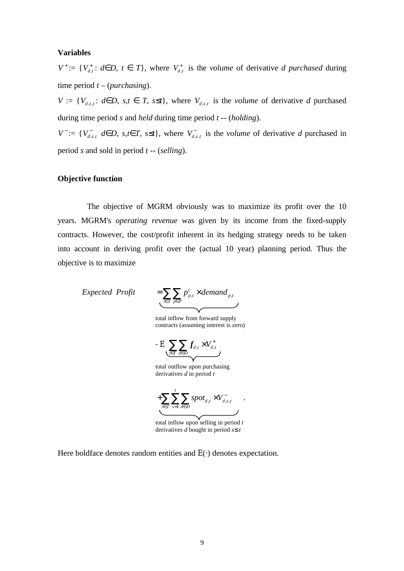# **Variables**

*V*<sup>+</sup>:= {*V*<sub>*d*</sub>,*t i* ∈ *D*, *t* ∈ *T*}, where *V*<sub>*d*</sub>, is the *volume* of derivative *d purchased* during time period *t* – (*purchasing*).

*V* := { $V_{d,s,t}$ : *d*∈*D*, *s*,*t* ∈ *T*, *s*≤*t*}, where  $V_{d,s,t}$  is the *volume* of derivative *d* purchased during time period *s* and *held* during time period *t* -- (*holding*).

 $V^- := \{V^-_{d,s,t} \, d \in D, \, s,t \, \hat{I} \, T, \, s \leq t\}$ , where  $V^-_{d,s,t}$  is the *volume* of derivative *d* purchased in period *s* and sold in period *t* -- (*selling*).

#### **Objective function**

The objective of MGRM obviously was to maximize its profit over the 10 years. MGRM's *operating revenue* was given by its income from the fixed-supply contracts. However, the cost/profit inherent in its hedging strategy needs to be taken into account in deriving profit over the (actual 10 year) planning period. Thus the objective is to maximize

*Expected Profit* 

 $_{t}$ <sup> $\sim$ *acmana*<sub>p</sub> $_{t}$ </sup> *c*  $p_{t}$ <sup> $\sim$  *dentifiem* $p_{t}$ </sup>  $t \in T$   $p \in P$  $p_{n}^{c}$   $\times$  *demand*  $=\sum_{t\in T}\sum_{p\in P}p_{p,t}^c\times$ 

 $-$  E  $\sum_{i}$   $\sum_{d}$   $f_{d,t}$   $\times$   $V_{d,t}^{+}$  $t \in T$   $d \in D$  $V_d^+$  $\sum_{t\in T}\sum_{d\in D}f_{d,t}$   $\times$ 

total outflow upon purchasing derivatives *d* in period *t*

 $t \wedge^{\mathbf{v}} d_{\mathbf{v}}$ 1 *t*  $d, t \sim \mathbf{v} d, s, t$  $t \in T$   $s=1$   $d \in D$  $spot_{d,t} \times V_{d}^{-}$  $+\sum_{t\in T}\sum_{s=1}\sum_{d\in D}spot_{d,t} \times$ 

.

total inflow upon selling in period *t* derivatives *d* bought in period *s£ t*

Here boldface denotes random entities and E(⋅) denotes expectation.

total inflow from forward supply contracts (assuming interest is zero)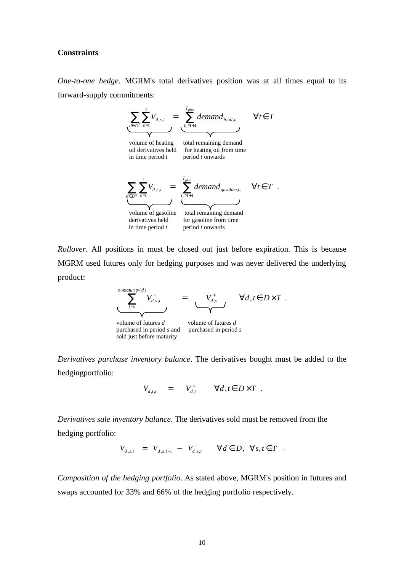#### **Constraints**

*One-to-one hedge*. MGRM's total derivatives position was at all times equal to its forward-supply commitments:



*Rollover*. All positions in must be closed out just before expiration. This is because MGRM used futures only for hedging purposes and was never delivered the underlying product:

$$
\sum_{t=s}^{s+\text{matrix}(d)} V_{d,s,t}^- = \underbrace{V_{d,s}^+}_{\text{volume of futures } d} \qquad \forall d, t \in D \times T.
$$
\n
$$
\sum_{\text{volume of futures } d} \qquad \text{volume of futures } d
$$
\n
$$
\text{purchased in period } s \text{ and } \qquad \text{purchased in period } s
$$

sold just before maturity

*Derivatives purchase inventory balance*. The derivatives bought must be added to the hedgingportfolio:

$$
V_{d,t,t} = V_{d,t}^+ \qquad \forall d,t \in D \times T .
$$

*Derivatives sale inventory balance*. The derivatives sold must be removed from the hedging portfolio:

$$
V_{d,s,t} = V_{d,s,t-1} - V_{d,s,t}^- \qquad \forall d \in D, \quad \forall s,t \in T
$$

*Composition of the hedging portfolio*. As stated above, MGRM's position in futures and swaps accounted for 33% and 66% of the hedging portfolio respectively.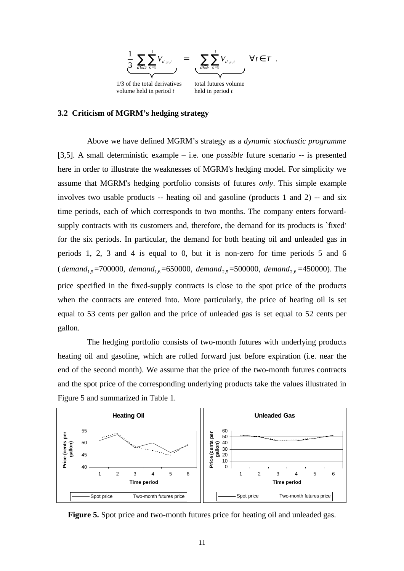

volume held in period *t* held in period *t*

#### **3.2 Criticism of MGRM's hedging strategy**

Above we have defined MGRM's strategy as a *dynamic stochastic programme*  [3,5]. A small deterministic example – i.e. one *possible* future scenario -- is presented here in order to illustrate the weaknesses of MGRM's hedging model. For simplicity we assume that MGRM's hedging portfolio consists of futures *only*. This simple example involves two usable products -- heating oil and gasoline (products 1 and 2) -- and six time periods, each of which corresponds to two months. The company enters forwardsupply contracts with its customers and, therefore, the demand for its products is `fixed' for the six periods. In particular, the demand for both heating oil and unleaded gas in periods 1, 2, 3 and 4 is equal to 0, but it is non-zero for time periods 5 and 6 ( *demand*<sub>1.5</sub> = 700000, *demand*<sub>1.6</sub> = 650000, *demand*<sub>2.5</sub> = 500000, *demand*<sub>2.6</sub> = 450000). The price specified in the fixed-supply contracts is close to the spot price of the products when the contracts are entered into. More particularly, the price of heating oil is set equal to 53 cents per gallon and the price of unleaded gas is set equal to 52 cents per gallon.

The hedging portfolio consists of two-month futures with underlying products heating oil and gasoline, which are rolled forward just before expiration (i.e. near the end of the second month). We assume that the price of the two-month futures contracts and the spot price of the corresponding underlying products take the values illustrated in Figure 5 and summarized in Table 1.



**Figure 5.** Spot price and two-month futures price for heating oil and unleaded gas.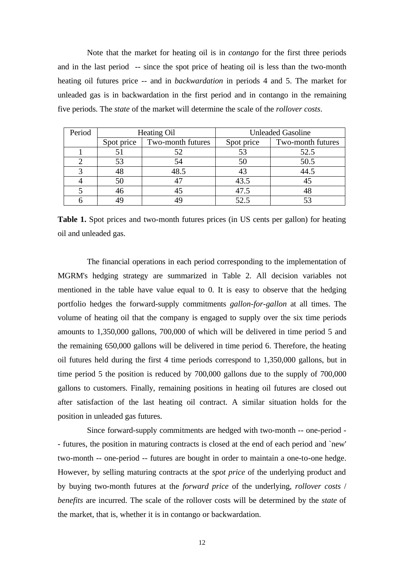Note that the market for heating oil is in *contango* for the first three periods and in the last period -- since the spot price of heating oil is less than the two-month heating oil futures price -- and in *backwardation* in periods 4 and 5. The market for unleaded gas is in backwardation in the first period and in contango in the remaining five periods. The *state* of the market will determine the scale of the *rollover costs*.

| Period | Heating Oil |                   | <b>Unleaded Gasoline</b> |                   |
|--------|-------------|-------------------|--------------------------|-------------------|
|        | Spot price  | Two-month futures | Spot price               | Two-month futures |
|        |             |                   |                          | 52.5              |
|        | 53          | 54                | 50                       | 50.5              |
|        |             | 48.5              |                          | 44.5              |
|        | 50          |                   | 43.5                     |                   |
|        |             |                   | 47.5                     |                   |
|        |             |                   | 52.5                     |                   |

**Table 1.** Spot prices and two-month futures prices (in US cents per gallon) for heating oil and unleaded gas.

The financial operations in each period corresponding to the implementation of MGRM's hedging strategy are summarized in Table 2. All decision variables not mentioned in the table have value equal to 0. It is easy to observe that the hedging portfolio hedges the forward-supply commitments *gallon-for-gallon* at all times. The volume of heating oil that the company is engaged to supply over the six time periods amounts to 1,350,000 gallons, 700,000 of which will be delivered in time period 5 and the remaining 650,000 gallons will be delivered in time period 6. Therefore, the heating oil futures held during the first 4 time periods correspond to 1,350,000 gallons, but in time period 5 the position is reduced by 700,000 gallons due to the supply of 700,000 gallons to customers. Finally, remaining positions in heating oil futures are closed out after satisfaction of the last heating oil contract. A similar situation holds for the position in unleaded gas futures.

Since forward-supply commitments are hedged with two-month -- one-period - - futures, the position in maturing contracts is closed at the end of each period and `new' two-month -- one-period -- futures are bought in order to maintain a one-to-one hedge. However, by selling maturing contracts at the *spot price* of the underlying product and by buying two-month futures at the *forward price* of the underlying, *rollover costs* / *benefits* are incurred. The scale of the rollover costs will be determined by the *state* of the market, that is, whether it is in contango or backwardation.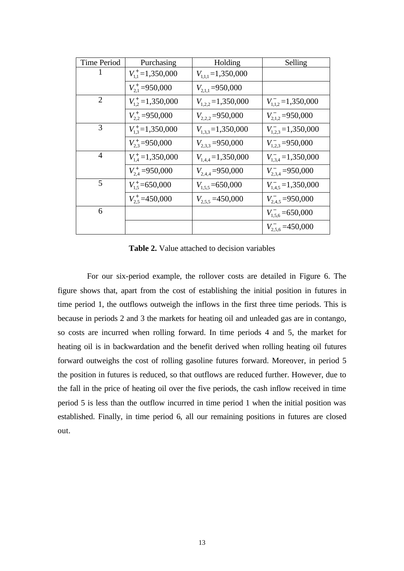| <b>Time Period</b> | Purchasing                     | Holding                 | Selling                           |
|--------------------|--------------------------------|-------------------------|-----------------------------------|
| 1                  | $V_{11}^{\dagger} = 1,350,000$ | $V_{1,1,1}$ = 1,350,000 |                                   |
|                    | $V_{21}^+$ =950,000            | $V_{211} = 950,000$     |                                   |
| 2                  | $V_{12}^{\dagger} = 1,350,000$ | $V_{122}$ =1,350,000    | $V_{1,1,2}^{\dagger} = 1,350,000$ |
|                    | $V_{22}^* = 950,000$           | $V_{2,2}$ = 950,000     | $V_{2,1,2}^{-}$ =950,000          |
| 3                  | $V_{13}^{\dagger}$ =1,350,000  | $V_{1,3,3}$ =1,350,000  | $V_{123} = 1,350,000$             |
|                    | $V_{23}^{\dagger} = 950,000$   | $V_{2,3,3} = 950,000$   | $V_{123}^-$ =950,000              |
| $\overline{4}$     | $V_{14}^{\dagger} = 1,350,000$ | $V_{1,4,4} = 1,350,000$ | $V_{1,3,4}^{-}$ = 1,350,000       |
|                    | $V_{2.4}^+$ =950,000           | $V_{2,4,4} = 950,000$   | $V_{2,34}^-$ = 950,000            |
| $\overline{5}$     | $V_{1.5}^{\dagger}$ = 650,000  | $V_{1.5.5}$ = 650,000   | $V_{1,4.5} = 1,350,000$           |
|                    | $V_{2.5}^{\dagger}$ =450,000   | $V_{2.55} = 450,000$    | $V_{2.4.5}^{-}$ =950,000          |
| 6                  |                                |                         | $V_{1,5,6}^-$ = 650,000           |
|                    |                                |                         | $V_{2.5.6}^{-}$ =450,000          |

**Table 2.** Value attached to decision variables

For our six-period example, the rollover costs are detailed in Figure 6. The figure shows that, apart from the cost of establishing the initial position in futures in time period 1, the outflows outweigh the inflows in the first three time periods. This is because in periods 2 and 3 the markets for heating oil and unleaded gas are in contango, so costs are incurred when rolling forward. In time periods 4 and 5, the market for heating oil is in backwardation and the benefit derived when rolling heating oil futures forward outweighs the cost of rolling gasoline futures forward. Moreover, in period 5 the position in futures is reduced, so that outflows are reduced further. However, due to the fall in the price of heating oil over the five periods, the cash inflow received in time period 5 is less than the outflow incurred in time period 1 when the initial position was established. Finally, in time period 6, all our remaining positions in futures are closed out.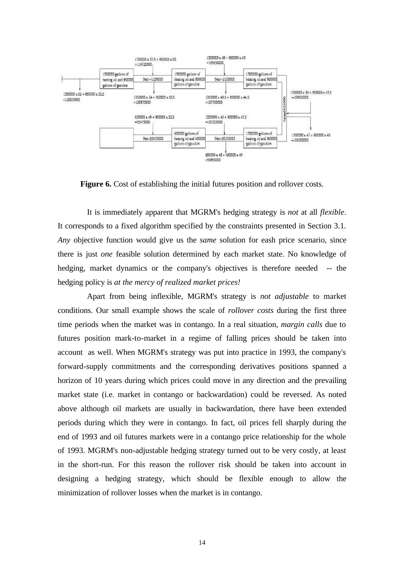

**Figure 6.** Cost of establishing the initial futures position and rollover costs.

It is immediately apparent that MGRM's hedging strategy is *not* at all *flexible*. It corresponds to a fixed algorithm specified by the constraints presented in Section 3.1. *Any* objective function would give us the *same* solution for eash price scenario, since there is just *one* feasible solution determined by each market state. No knowledge of hedging, market dynamics or the company's objectives is therefore needed -- the hedging policy is *at the mercy of realized market prices!*

Apart from being inflexible, MGRM's strategy is *not adjustable* to market conditions. Our small example shows the scale of *rollover costs* during the first three time periods when the market was in contango. In a real situation, *margin calls* due to futures position mark-to-market in a regime of falling prices should be taken into account as well. When MGRM's strategy was put into practice in 1993, the company's forward-supply commitments and the corresponding derivatives positions spanned a horizon of 10 years during which prices could move in any direction and the prevailing market state (i.e. market in contango or backwardation) could be reversed. As noted above although oil markets are usually in backwardation, there have been extended periods during which they were in contango. In fact, oil prices fell sharply during the end of 1993 and oil futures markets were in a contango price relationship for the whole of 1993. MGRM's non-adjustable hedging strategy turned out to be very costly, at least in the short-run. For this reason the rollover risk should be taken into account in designing a hedging strategy, which should be flexible enough to allow the minimization of rollover losses when the market is in contango.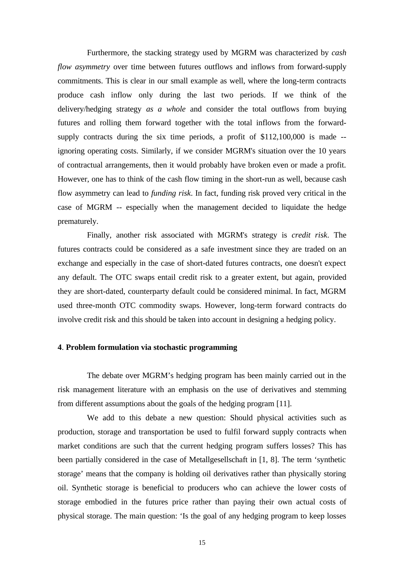Furthermore, the stacking strategy used by MGRM was characterized by *cash flow asymmetry* over time between futures outflows and inflows from forward-supply commitments. This is clear in our small example as well, where the long-term contracts produce cash inflow only during the last two periods. If we think of the delivery/hedging strategy *as a whole* and consider the total outflows from buying futures and rolling them forward together with the total inflows from the forwardsupply contracts during the six time periods, a profit of \$112,100,000 is made -ignoring operating costs. Similarly, if we consider MGRM's situation over the 10 years of contractual arrangements, then it would probably have broken even or made a profit. However, one has to think of the cash flow timing in the short-run as well, because cash flow asymmetry can lead to *funding risk*. In fact, funding risk proved very critical in the case of MGRM -- especially when the management decided to liquidate the hedge prematurely.

Finally, another risk associated with MGRM's strategy is *credit risk*. The futures contracts could be considered as a safe investment since they are traded on an exchange and especially in the case of short-dated futures contracts, one doesn't expect any default. The OTC swaps entail credit risk to a greater extent, but again, provided they are short-dated, counterparty default could be considered minimal. In fact, MGRM used three-month OTC commodity swaps. However, long-term forward contracts do involve credit risk and this should be taken into account in designing a hedging policy.

#### **4**. **Problem formulation via stochastic programming**

The debate over MGRM's hedging program has been mainly carried out in the risk management literature with an emphasis on the use of derivatives and stemming from different assumptions about the goals of the hedging program [11].

We add to this debate a new question: Should physical activities such as production, storage and transportation be used to fulfil forward supply contracts when market conditions are such that the current hedging program suffers losses? This has been partially considered in the case of Metallgesellschaft in [1, 8]. The term 'synthetic storage' means that the company is holding oil derivatives rather than physically storing oil. Synthetic storage is beneficial to producers who can achieve the lower costs of storage embodied in the futures price rather than paying their own actual costs of physical storage. The main question: 'Is the goal of any hedging program to keep losses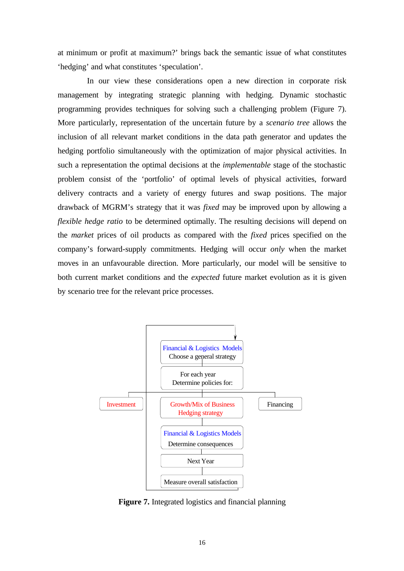at minimum or profit at maximum?' brings back the semantic issue of what constitutes 'hedging' and what constitutes 'speculation'.

In our view these considerations open a new direction in corporate risk management by integrating strategic planning with hedging. Dynamic stochastic programming provides techniques for solving such a challenging problem (Figure 7). More particularly, representation of the uncertain future by a *scenario tree* allows the inclusion of all relevant market conditions in the data path generator and updates the hedging portfolio simultaneously with the optimization of major physical activities. In such a representation the optimal decisions at the *implementable* stage of the stochastic problem consist of the 'portfolio' of optimal levels of physical activities, forward delivery contracts and a variety of energy futures and swap positions. The major drawback of MGRM's strategy that it was *fixed* may be improved upon by allowing a *flexible hedge ratio* to be determined optimally. The resulting decisions will depend on the *market* prices of oil products as compared with the *fixed* prices specified on the company's forward-supply commitments. Hedging will occur *only* when the market moves in an unfavourable direction. More particularly, our model will be sensitive to both current market conditions and the *expected* future market evolution as it is given by scenario tree for the relevant price processes.



**Figure 7.** Integrated logistics and financial planning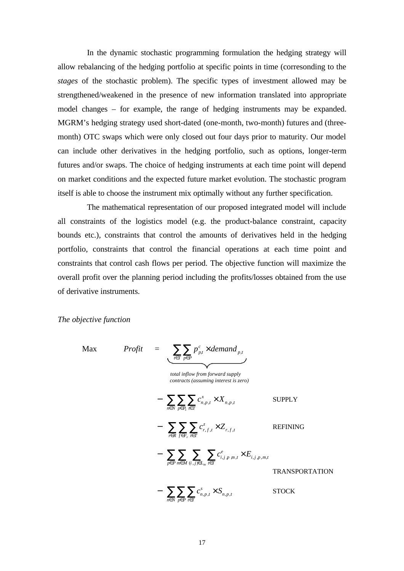In the dynamic stochastic programming formulation the hedging strategy will allow rebalancing of the hedging portfolio at specific points in time (corresonding to the *stages* of the stochastic problem). The specific types of investment allowed may be strengthened/weakened in the presence of new information translated into appropriate model changes – for example, the range of hedging instruments may be expanded. MGRM's hedging strategy used short-dated (one-month, two-month) futures and (threemonth) OTC swaps which were only closed out four days prior to maturity. Our model can include other derivatives in the hedging portfolio, such as options, longer-term futures and/or swaps. The choice of hedging instruments at each time point will depend on market conditions and the expected future market evolution. The stochastic program itself is able to choose the instrument mix optimally without any further specification.

The mathematical representation of our proposed integrated model will include all constraints of the logistics model (e.g. the product-balance constraint, capacity bounds etc.), constraints that control the amounts of derivatives held in the hedging portfolio, constraints that control the financial operations at each time point and constraints that control cash flows per period. The objective function will maximize the overall profit over the planning period including the profits/losses obtained from the use of derivative instruments.

## *The objective function*

$$
Max \quad Profit \quad = \sum_{t \in T} \sum_{p \in P} p_{p,t}^c \times demand_{p,t}
$$
\n
$$
total\ inflow from forward supply\n contracts (assuming interest is zero)\n\n- \sum_{n \in N} \sum_{p \in P_1} \sum_{t \in T} c_{n,p,t}^x \times X_{n,p,t} \quad \text{SUPPLY}\n\n- \sum_{r \in R} \sum_{f \in F_r} \sum_{t \in T} c_{r,f,t}^z \times Z_{r,f,t} \quad \text{REFINING}\n\n- \sum_{p \in P} \sum_{m \in M} \sum_{(i,j) \in L_m} \sum_{t \in T} c_{i,j,p,m,t}^e \times E_{i,j,p,m,t}
$$
\n
$$
\quad - \sum_{n \in N} \sum_{p \in P} \sum_{t \in T} c_{n,p,t}^s \times S_{n,p,t} \quad \text{STOCK}
$$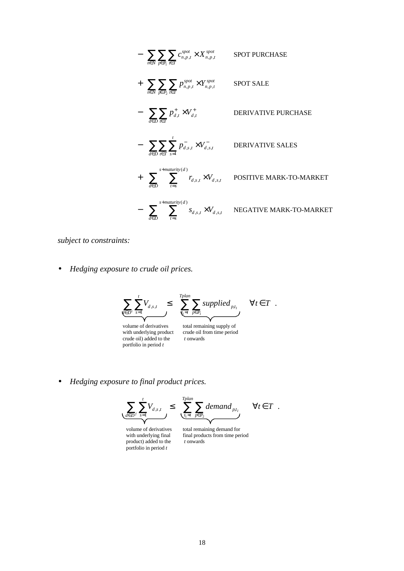- 
$$
\sum_{n \in N} \sum_{p \in P_1} \sum_{\substack{k \in T}} c_{n,p,t}^{spot} \times X_{n,p,t}^{spot}
$$
 SPOT PURCHASE  
+ 
$$
\sum_{n \in N} \sum_{p \in P_2} \sum_{t \in T} p_{n,p,t}^{spot} \times Y_{n,p,t}^{spot}
$$
 SPOT SALE  
- 
$$
\sum_{d \in D} \sum_{t \in T} p_{d,t}^+ \times V_{d,t}^+
$$
 DERIVATIVE PURCHASE  
- 
$$
\sum_{d \in D} \sum_{t \in T} \sum_{s=1}^t p_{d,s,t}^- \times V_{d,s,t}^-
$$
 DERIVATIVE SALES  
+ 
$$
\sum_{d \in D} \sum_{t=s}^{s + maturity(d)} r_{d,s,t} \times V_{d,s,t}
$$
 POSITIVE MARK-TO-MARKET  
- 
$$
\sum_{d \in D} \sum_{t=s}^{s + maturity(d)} s_{d,s,t} \times V_{d,s,t}
$$
 NEGATIVE MARK-TO-MARKET

*subject to constraints:*

• *Hedging exposure to crude oil prices.*

$$
\sum_{\mathbf{v} \in D^c} \sum_{s=1}^t V_{d,s,t} \leq \sum_{\mathbf{v} \neq p}^{Tplan} \sum_{p \in P_1} supplied_{p,t_1} \quad \forall t \in T.
$$

volume of derivatives total remaining supply of volume of derivatives total remain<br>with underlying product crude oil fi<br>crude oil) added to the *t* onwards portfolio in period *<sup>t</sup>*

with underlying product crude oil from time period

• *Hedging exposure to final product prices.*

$$
\underbrace{\sum_{d \in D^f} \sum_{s=1}^t V_{d,s,t}}_{\text{sum}} \leq \underbrace{\sum_{t_1=1}^{Tplan} \sum_{p \in P_2} demand_{p,t_1}}_{\text{sum and } p \in T} \quad \forall t \in T.
$$

volume of derivatives total remaining demand for<br>with underlying final final products from time per product) added to the portfolio in period *t*

final products from time period  $t$  onwards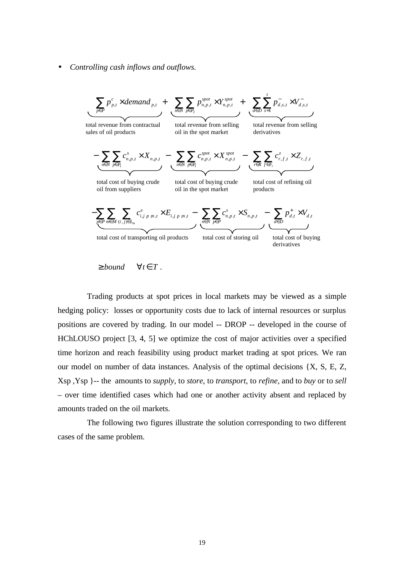• *Controlling cash inflows and outflows.*

$$
\sum_{p \in P} p_{p,t}^c \times demand_{p,t} + \sum_{n \in N} \sum_{p \in P_2} p_{n,p,t}^{spot} \times Y_{n,p,t} + \sum_{d \in D} \sum_{s=1}^t p_{d,s,t}^-\times V_{d,s,t}
$$
\ntotal revenue from contractual  
\nsales of oil products\n
$$
- \sum_{n \in N} \sum_{p \in P_1} c_{n,p,t}^x \times X_{n,p,t} - \sum_{n \in N} \sum_{p \in P_1} c_{n,p,t}^{spot} \times X_{n,p,t} - \sum_{n \in N} \sum_{p \in P_1} c_{n,p,t}^{spot} \times X_{n,p,t} - \sum_{n \in N} \sum_{p \in P_1} c_{r,f,t}^z \times Z_{r,f,t}
$$
\ntotal cost of buying crude  
\noid from suppliers\n
$$
- \sum_{p \in P} \sum_{m \in M} \sum_{(i,j) \in L_m} c_{i,j,p,m,t}^e \times E_{i,j,p,m,t} - \sum_{n \in N} \sum_{p \in P} c_{n,p,t}^s \times S_{n,p,t} - \sum_{d \in D} p_{d,t}^+ \times V_{d,t}
$$
\ntotal cost of transporting oil products\ntotal cost of transporting oil products\ntotal cost of storing oil total cost of showing derivatives

$$
\geq bound \qquad \forall t \in T.
$$

Trading products at spot prices in local markets may be viewed as a simple hedging policy: losses or opportunity costs due to lack of internal resources or surplus positions are covered by trading. In our model -- DROP -- developed in the course of HChLOUSO project [3, 4, 5] we optimize the cost of major activities over a specified time horizon and reach feasibility using product market trading at spot prices. We ran our model on number of data instances. Analysis of the optimal decisions {X, S, E, Z, Xsp ,Ysp }-- the amounts to *supply*, to *store*, to *transport*, to *refine*, and to *buy* or to *sell* – over time identified cases which had one or another activity absent and replaced by amounts traded on the oil markets.

The following two figures illustrate the solution corresponding to two different cases of the same problem.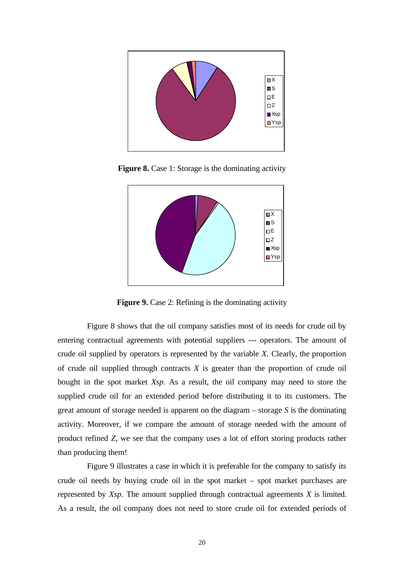

**Figure 8.** Case 1: Storage is the dominating activity



**Figure 9.** Case 2: Refining is the dominating activity

Figure 8 shows that the oil company satisfies most of its needs for crude oil by entering contractual agreements with potential suppliers --- operators. The amount of crude oil supplied by operators is represented by the variable *X.* Clearly, the proportion of crude oil supplied through contracts *X* is greater than the proportion of crude oil bought in the spot market *Xsp*. As a result, the oil company may need to store the supplied crude oil for an extended period before distributing it to its customers. The great amount of storage needed is apparent on the diagram – storage *S* is the dominating activity. Moreover, if we compare the amount of storage needed with the amount of product refined *Z*, we see that the company uses a lot of effort storing products rather than producing them!

Figure 9 illustrates a case in which it is preferable for the company to satisfy its crude oil needs by buying crude oil in the spot market – spot market purchases are represented by *Xsp.* The amount supplied through contractual agreements *X* is limited. As a result, the oil company does not need to store crude oil for extended periods of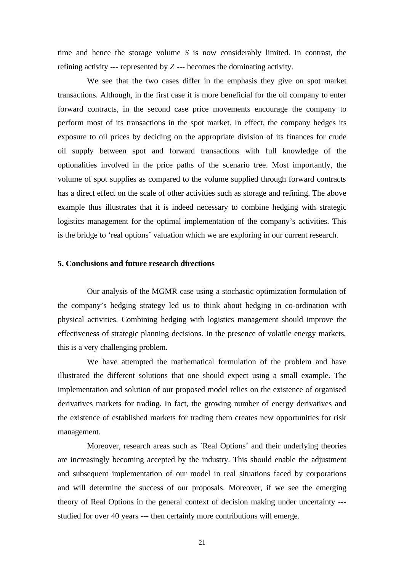time and hence the storage volume *S* is now considerably limited. In contrast, the refining activity --- represented by *Z ---* becomes the dominating activity.

We see that the two cases differ in the emphasis they give on spot market transactions. Although, in the first case it is more beneficial for the oil company to enter forward contracts, in the second case price movements encourage the company to perform most of its transactions in the spot market. In effect, the company hedges its exposure to oil prices by deciding on the appropriate division of its finances for crude oil supply between spot and forward transactions with full knowledge of the optionalities involved in the price paths of the scenario tree. Most importantly, the volume of spot supplies as compared to the volume supplied through forward contracts has a direct effect on the scale of other activities such as storage and refining. The above example thus illustrates that it is indeed necessary to combine hedging with strategic logistics management for the optimal implementation of the company's activities. This is the bridge to 'real options' valuation which we are exploring in our current research.

# **5. Conclusions and future research directions**

Our analysis of the MGMR case using a stochastic optimization formulation of the company's hedging strategy led us to think about hedging in co-ordination with physical activities. Combining hedging with logistics management should improve the effectiveness of strategic planning decisions. In the presence of volatile energy markets, this is a very challenging problem.

We have attempted the mathematical formulation of the problem and have illustrated the different solutions that one should expect using a small example. The implementation and solution of our proposed model relies on the existence of organised derivatives markets for trading. In fact, the growing number of energy derivatives and the existence of established markets for trading them creates new opportunities for risk management.

Moreover, research areas such as `Real Options' and their underlying theories are increasingly becoming accepted by the industry. This should enable the adjustment and subsequent implementation of our model in real situations faced by corporations and will determine the success of our proposals. Moreover, if we see the emerging theory of Real Options in the general context of decision making under uncertainty -- studied for over 40 years --- then certainly more contributions will emerge.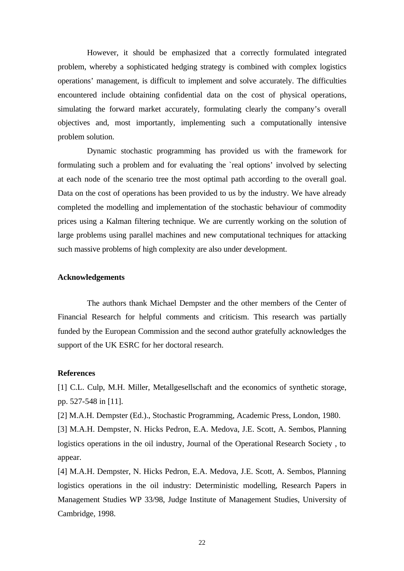However, it should be emphasized that a correctly formulated integrated problem, whereby a sophisticated hedging strategy is combined with complex logistics operations' management, is difficult to implement and solve accurately. The difficulties encountered include obtaining confidential data on the cost of physical operations, simulating the forward market accurately, formulating clearly the company's overall objectives and, most importantly, implementing such a computationally intensive problem solution.

Dynamic stochastic programming has provided us with the framework for formulating such a problem and for evaluating the `real options' involved by selecting at each node of the scenario tree the most optimal path according to the overall goal. Data on the cost of operations has been provided to us by the industry. We have already completed the modelling and implementation of the stochastic behaviour of commodity prices using a Kalman filtering technique. We are currently working on the solution of large problems using parallel machines and new computational techniques for attacking such massive problems of high complexity are also under development.

#### **Acknowledgements**

The authors thank Michael Dempster and the other members of the Center of Financial Research for helpful comments and criticism. This research was partially funded by the European Commission and the second author gratefully acknowledges the support of the UK ESRC for her doctoral research.

#### **References**

[1] C.L. Culp, M.H. Miller, Metallgesellschaft and the economics of synthetic storage, pp. 527-548 in [11].

[2] M.A.H. Dempster (Ed.)., Stochastic Programming, Academic Press, London, 1980.

[3] M.A.H. Dempster, N. Hicks Pedron, E.A. Medova, J.E. Scott, A. Sembos, Planning logistics operations in the oil industry, Journal of the Operational Research Society , to appear.

[4] M.A.H. Dempster, N. Hicks Pedron, E.A. Medova, J.E. Scott, A. Sembos, Planning logistics operations in the oil industry: Deterministic modelling, Research Papers in Management Studies WP 33/98, Judge Institute of Management Studies, University of Cambridge, 1998.